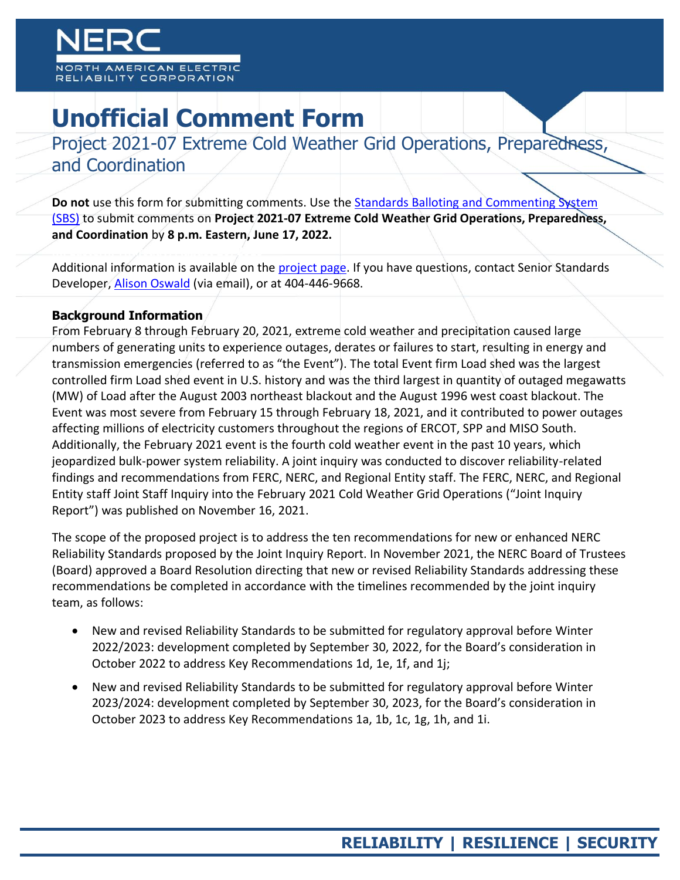# **Unofficial Comment Form**

Project 2021-07 Extreme Cold Weather Grid Operations, Preparedness, and Coordination

**Do not** use this form for submitting comments. Use the [Standards Balloting and Commenting System](https://sbs.nerc.net/)  [\(SBS\)](https://sbs.nerc.net/) to submit comments on **Project 2021-07 Extreme Cold Weather Grid Operations, Preparedness, and Coordination** by **8 p.m. Eastern, June 17, 2022.**

Additional information is available on the [project page.](https://www.nerc.com/pa/Stand/Pages/Project-2021-07-ExtremeColdWeather.aspx) If you have questions, contact Senior Standards Developer, [Alison Oswald](mailto:alison.oswald@nerc.net) (via email), or at 404-446-9668.

# **Background Information**

From February 8 through February 20, 2021, extreme cold weather and precipitation caused large numbers of generating units to experience outages, derates or failures to start, resulting in energy and transmission emergencies (referred to as "the Event"). The total Event firm Load shed was the largest controlled firm Load shed event in U.S. history and was the third largest in quantity of outaged megawatts (MW) of Load after the August 2003 northeast blackout and the August 1996 west coast blackout. The Event was most severe from February 15 through February 18, 2021, and it contributed to power outages affecting millions of electricity customers throughout the regions of ERCOT, SPP and MISO South. Additionally, the February 2021 event is the fourth cold weather event in the past 10 years, which jeopardized bulk-power system reliability. A joint inquiry was conducted to discover reliability-related findings and recommendations from FERC, NERC, and Regional Entity staff. The FERC, NERC, and Regional Entity staff Joint Staff Inquiry into the February 2021 Cold Weather Grid Operations ("Joint Inquiry Report") was published on November 16, 2021.

The scope of the proposed project is to address the ten recommendations for new or enhanced NERC Reliability Standards proposed by the Joint Inquiry Report. In November 2021, the NERC Board of Trustees (Board) approved a Board Resolution directing that new or revised Reliability Standards addressing these recommendations be completed in accordance with the timelines recommended by the joint inquiry team, as follows:

- New and revised Reliability Standards to be submitted for regulatory approval before Winter 2022/2023: development completed by September 30, 2022, for the Board's consideration in October 2022 to address Key Recommendations 1d, 1e, 1f, and 1j;
- New and revised Reliability Standards to be submitted for regulatory approval before Winter 2023/2024: development completed by September 30, 2023, for the Board's consideration in October 2023 to address Key Recommendations 1a, 1b, 1c, 1g, 1h, and 1i.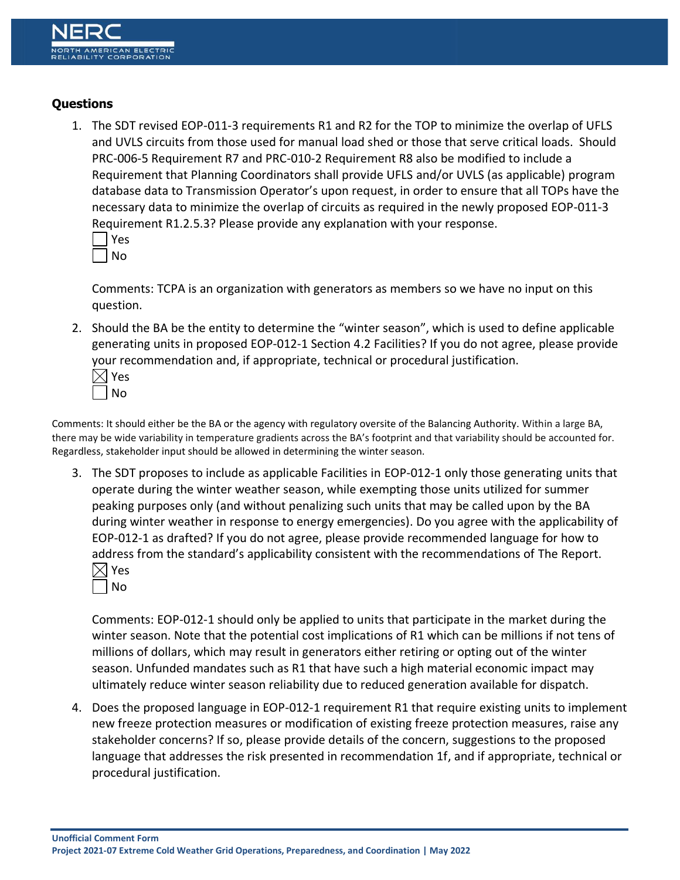# **Questions**

1. The SDT revised EOP-011-3 requirements R1 and R2 for the TOP to minimize the overlap of UFLS and UVLS circuits from those used for manual load shed or those that serve critical loads. Should PRC-006-5 Requirement R7 and PRC-010-2 Requirement R8 also be modified to include a Requirement that Planning Coordinators shall provide UFLS and/or UVLS (as applicable) program database data to Transmission Operator's upon request, in order to ensure that all TOPs have the necessary data to minimize the overlap of circuits as required in the newly proposed EOP-011-3 Requirement R1.2.5.3? Please provide any explanation with your response.

| J. |
|----|
|    |

Comments: TCPA is an organization with generators as members so we have no input on this question.

- 2. Should the BA be the entity to determine the "winter season", which is used to define applicable generating units in proposed EOP-012-1 Section 4.2 Facilities? If you do not agree, please provide your recommendation and, if appropriate, technical or procedural justification.
	- $\boxtimes$  Yes No

Comments: It should either be the BA or the agency with regulatory oversite of the Balancing Authority. Within a large BA, there may be wide variability in temperature gradients across the BA's footprint and that variability should be accounted for. Regardless, stakeholder input should be allowed in determining the winter season.

3. The SDT proposes to include as applicable Facilities in EOP-012-1 only those generating units that operate during the winter weather season, while exempting those units utilized for summer peaking purposes only (and without penalizing such units that may be called upon by the BA during winter weather in response to energy emergencies). Do you agree with the applicability of EOP-012-1 as drafted? If you do not agree, please provide recommended language for how to address from the standard's applicability consistent with the recommendations of The Report. Yes

| Ξ<br>I<br>▀ |
|-------------|
|             |

Comments: EOP-012-1 should only be applied to units that participate in the market during the winter season. Note that the potential cost implications of R1 which can be millions if not tens of millions of dollars, which may result in generators either retiring or opting out of the winter season. Unfunded mandates such as R1 that have such a high material economic impact may ultimately reduce winter season reliability due to reduced generation available for dispatch.

4. Does the proposed language in EOP-012-1 requirement R1 that require existing units to implement new freeze protection measures or modification of existing freeze protection measures, raise any stakeholder concerns? If so, please provide details of the concern, suggestions to the proposed language that addresses the risk presented in recommendation 1f, and if appropriate, technical or procedural justification.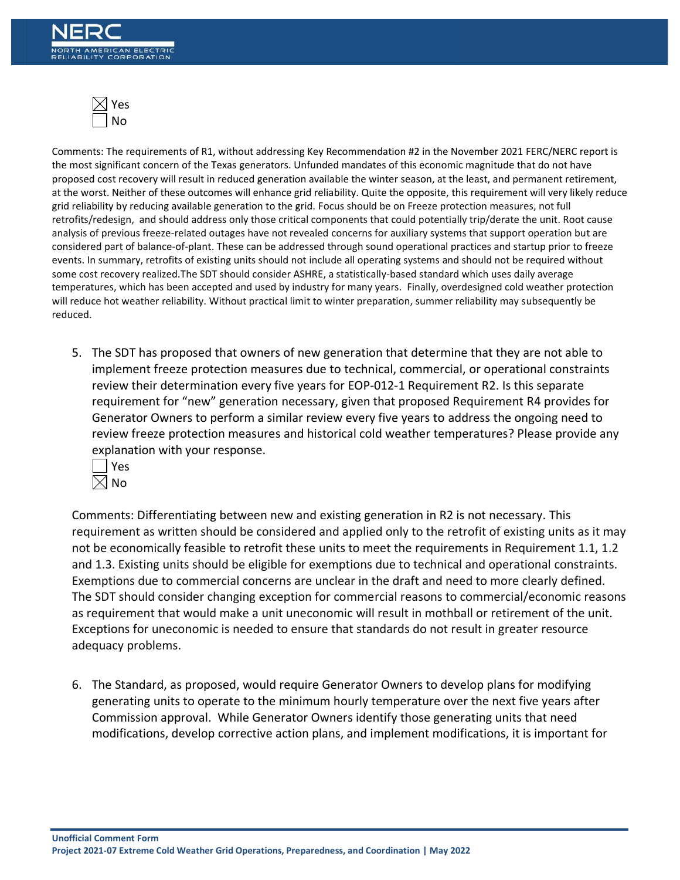

Comments: The requirements of R1, without addressing Key Recommendation #2 in the November 2021 FERC/NERC report is the most significant concern of the Texas generators. Unfunded mandates of this economic magnitude that do not have proposed cost recovery will result in reduced generation available the winter season, at the least, and permanent retirement, at the worst. Neither of these outcomes will enhance grid reliability. Quite the opposite, this requirement will very likely reduce grid reliability by reducing available generation to the grid. Focus should be on Freeze protection measures, not full retrofits/redesign, and should address only those critical components that could potentially trip/derate the unit. Root cause analysis of previous freeze-related outages have not revealed concerns for auxiliary systems that support operation but are considered part of balance-of-plant. These can be addressed through sound operational practices and startup prior to freeze events. In summary, retrofits of existing units should not include all operating systems and should not be required without some cost recovery realized.The SDT should consider ASHRE, a statistically-based standard which uses daily average temperatures, which has been accepted and used by industry for many years. Finally, overdesigned cold weather protection will reduce hot weather reliability. Without practical limit to winter preparation, summer reliability may subsequently be reduced.

5. The SDT has proposed that owners of new generation that determine that they are not able to implement freeze protection measures due to technical, commercial, or operational constraints review their determination every five years for EOP-012-1 Requirement R2. Is this separate requirement for "new" generation necessary, given that proposed Requirement R4 provides for Generator Owners to perform a similar review every five years to address the ongoing need to review freeze protection measures and historical cold weather temperatures? Please provide any explanation with your response.



Comments: Differentiating between new and existing generation in R2 is not necessary. This requirement as written should be considered and applied only to the retrofit of existing units as it may not be economically feasible to retrofit these units to meet the requirements in Requirement 1.1, 1.2 and 1.3. Existing units should be eligible for exemptions due to technical and operational constraints. Exemptions due to commercial concerns are unclear in the draft and need to more clearly defined. The SDT should consider changing exception for commercial reasons to commercial/economic reasons as requirement that would make a unit uneconomic will result in mothball or retirement of the unit. Exceptions for uneconomic is needed to ensure that standards do not result in greater resource adequacy problems.

6. The Standard, as proposed, would require Generator Owners to develop plans for modifying generating units to operate to the minimum hourly temperature over the next five years after Commission approval. While Generator Owners identify those generating units that need modifications, develop corrective action plans, and implement modifications, it is important for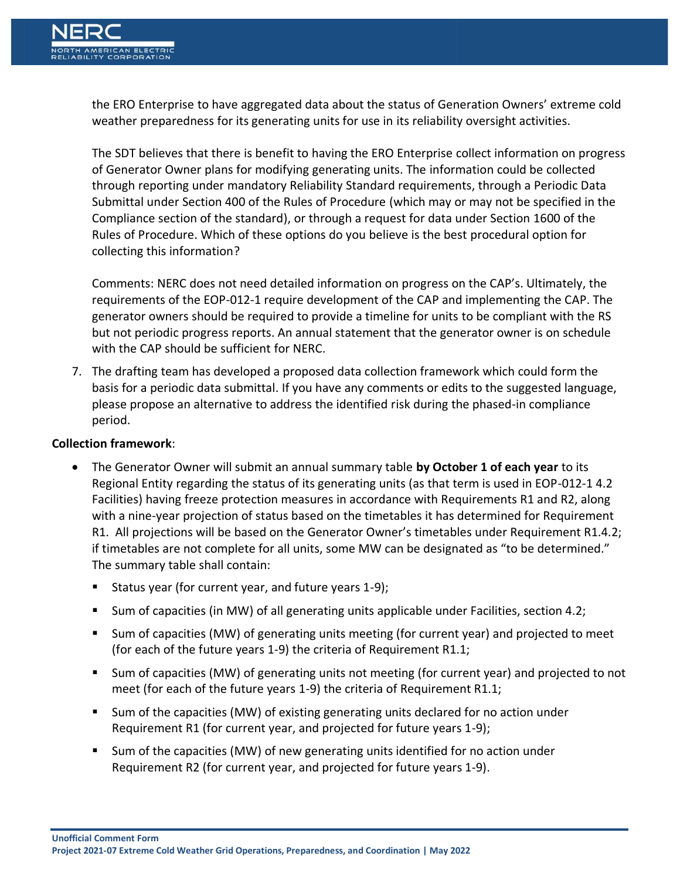

the ERO Enterprise to have aggregated data about the status of Generation Owners' extreme cold weather preparedness for its generating units for use in its reliability oversight activities.

The SDT believes that there is benefit to having the ERO Enterprise collect information on progress of Generator Owner plans for modifying generating units. The information could be collected through reporting under mandatory Reliability Standard requirements, through a Periodic Data Submittal under Section 400 of the Rules of Procedure (which may or may not be specified in the Compliance section of the standard), or through a request for data under Section 1600 of the Rules of Procedure. Which of these options do you believe is the best procedural option for collecting this information?

Comments: NERC does not need detailed information on progress on the CAP's. Ultimately, the requirements of the EOP-012-1 require development of the CAP and implementing the CAP. The generator owners should be required to provide a timeline for units to be compliant with the RS but not periodic progress reports. An annual statement that the generator owner is on schedule with the CAP should be sufficient for NERC.

7. The drafting team has developed a proposed data collection framework which could form the basis for a periodic data submittal. If you have any comments or edits to the suggested language, please propose an alternative to address the identified risk during the phased-in compliance period.

## **Collection framework**:

- The Generator Owner will submit an annual summary table **by October 1 of each year** to its Regional Entity regarding the status of its generating units (as that term is used in EOP-012-1 4.2 Facilities) having freeze protection measures in accordance with Requirements R1 and R2, along with a nine-year projection of status based on the timetables it has determined for Requirement R1. All projections will be based on the Generator Owner's timetables under Requirement R1.4.2; if timetables are not complete for all units, some MW can be designated as "to be determined." The summary table shall contain:
	- Status year (for current year, and future years 1-9);
	- Sum of capacities (in MW) of all generating units applicable under Facilities, section 4.2;
	- Sum of capacities (MW) of generating units meeting (for current year) and projected to meet (for each of the future years 1-9) the criteria of Requirement R1.1;
	- Sum of capacities (MW) of generating units not meeting (for current year) and projected to not meet (for each of the future years 1-9) the criteria of Requirement R1.1;
	- Sum of the capacities (MW) of existing generating units declared for no action under Requirement R1 (for current year, and projected for future years 1-9);
	- Sum of the capacities (MW) of new generating units identified for no action under Requirement R2 (for current year, and projected for future years 1-9).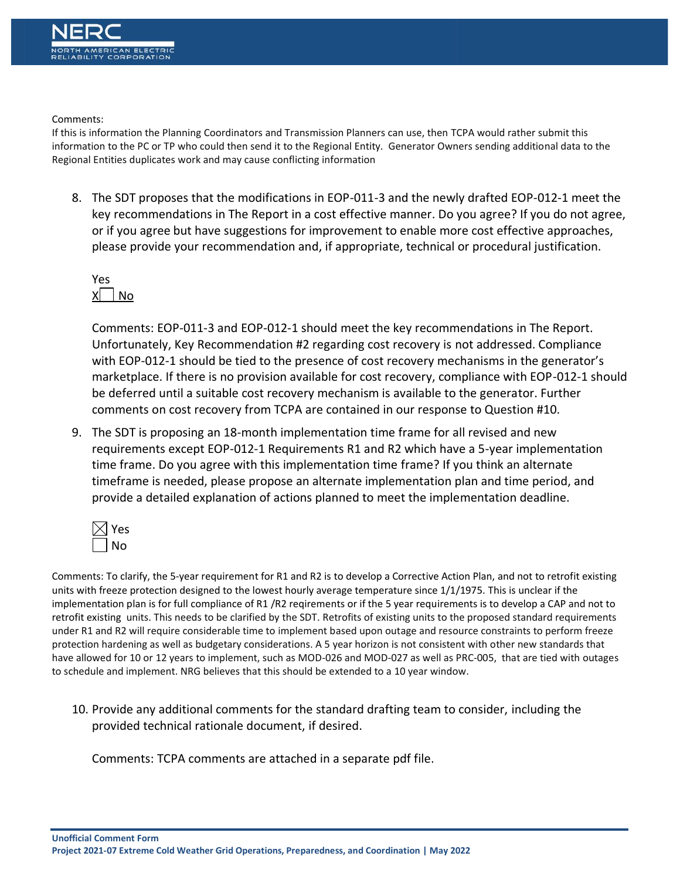Comments:

If this is information the Planning Coordinators and Transmission Planners can use, then TCPA would rather submit this information to the PC or TP who could then send it to the Regional Entity. Generator Owners sending additional data to the Regional Entities duplicates work and may cause conflicting information

8. The SDT proposes that the modifications in EOP-011-3 and the newly drafted EOP-012-1 meet the key recommendations in The Report in a cost effective manner. Do you agree? If you do not agree, or if you agree but have suggestions for improvement to enable more cost effective approaches, please provide your recommendation and, if appropriate, technical or procedural justification.

Yes  $X \cap N$ o

Comments: EOP-011-3 and EOP-012-1 should meet the key recommendations in The Report. Unfortunately, Key Recommendation #2 regarding cost recovery is not addressed. Compliance with EOP-012-1 should be tied to the presence of cost recovery mechanisms in the generator's marketplace. If there is no provision available for cost recovery, compliance with EOP-012-1 should be deferred until a suitable cost recovery mechanism is available to the generator. Further comments on cost recovery from TCPA are contained in our response to Question #10.

9. The SDT is proposing an 18-month implementation time frame for all revised and new requirements except EOP-012-1 Requirements R1 and R2 which have a 5-year implementation time frame. Do you agree with this implementation time frame? If you think an alternate timeframe is needed, please propose an alternate implementation plan and time period, and provide a detailed explanation of actions planned to meet the implementation deadline.



Comments: To clarify, the 5-year requirement for R1 and R2 is to develop a Corrective Action Plan, and not to retrofit existing units with freeze protection designed to the lowest hourly average temperature since 1/1/1975. This is unclear if the implementation plan is for full compliance of R1 /R2 reqirements or if the 5 year requirements is to develop a CAP and not to retrofit existing units. This needs to be clarified by the SDT. Retrofits of existing units to the proposed standard requirements under R1 and R2 will require considerable time to implement based upon outage and resource constraints to perform freeze protection hardening as well as budgetary considerations. A 5 year horizon is not consistent with other new standards that have allowed for 10 or 12 years to implement, such as MOD-026 and MOD-027 as well as PRC-005, that are tied with outages to schedule and implement. NRG believes that this should be extended to a 10 year window.

10. Provide any additional comments for the standard drafting team to consider, including the provided technical rationale document, if desired.

Comments: TCPA comments are attached in a separate pdf file.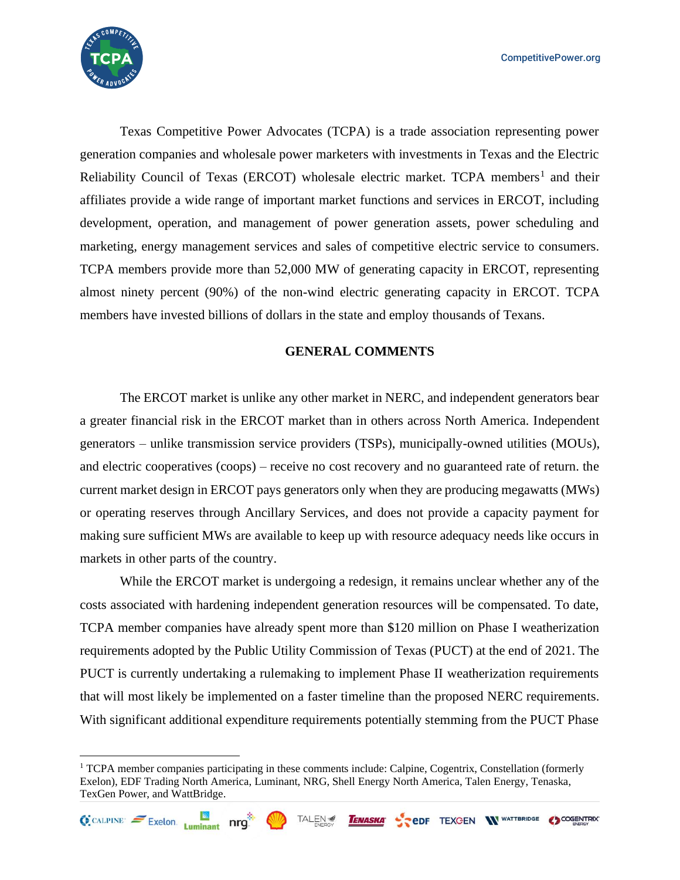

Texas Competitive Power Advocates (TCPA) is a trade association representing power generation companies and wholesale power marketers with investments in Texas and the Electric Reliability Council of Texas (ERCOT) wholesale electric market. TCPA members<sup>1</sup> and their affiliates provide a wide range of important market functions and services in ERCOT, including development, operation, and management of power generation assets, power scheduling and marketing, energy management services and sales of competitive electric service to consumers. TCPA members provide more than 52,000 MW of generating capacity in ERCOT, representing almost ninety percent (90%) of the non-wind electric generating capacity in ERCOT. TCPA members have invested billions of dollars in the state and employ thousands of Texans.

#### **GENERAL COMMENTS**

The ERCOT market is unlike any other market in NERC, and independent generators bear a greater financial risk in the ERCOT market than in others across North America. Independent generators – unlike transmission service providers (TSPs), municipally-owned utilities (MOUs), and electric cooperatives (coops) – receive no cost recovery and no guaranteed rate of return. the current market design in ERCOT pays generators only when they are producing megawatts (MWs) or operating reserves through Ancillary Services, and does not provide a capacity payment for making sure sufficient MWs are available to keep up with resource adequacy needs like occurs in markets in other parts of the country.

While the ERCOT market is undergoing a redesign, it remains unclear whether any of the costs associated with hardening independent generation resources will be compensated. To date, TCPA member companies have already spent more than \$120 million on Phase I weatherization requirements adopted by the Public Utility Commission of Texas (PUCT) at the end of 2021. The PUCT is currently undertaking a rulemaking to implement Phase II weatherization requirements that will most likely be implemented on a faster timeline than the proposed NERC requirements. With significant additional expenditure requirements potentially stemming from the PUCT Phase

**TENASKA** 



<sup>1</sup> TCPA member companies participating in these comments include: Calpine, Cogentrix, Constellation (formerly Exelon), EDF Trading North America, Luminant, NRG, Shell Energy North America, Talen Energy, Tenaska, TexGen Power, and WattBridge.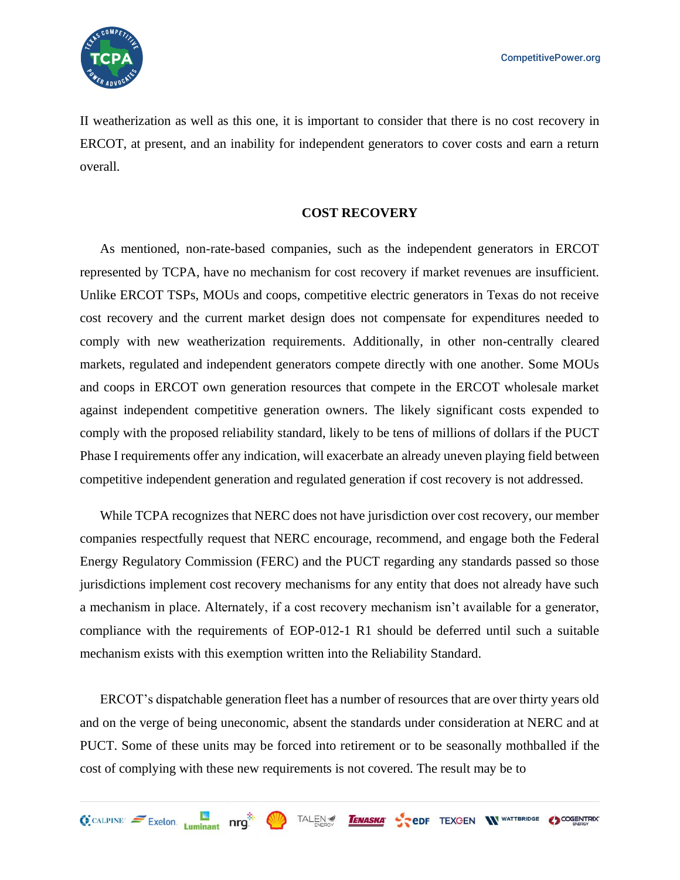

II weatherization as well as this one, it is important to consider that there is no cost recovery in ERCOT, at present, and an inability for independent generators to cover costs and earn a return overall.

#### **COST RECOVERY**

As mentioned, non-rate-based companies, such as the independent generators in ERCOT represented by TCPA, have no mechanism for cost recovery if market revenues are insufficient. Unlike ERCOT TSPs, MOUs and coops, competitive electric generators in Texas do not receive cost recovery and the current market design does not compensate for expenditures needed to comply with new weatherization requirements. Additionally, in other non-centrally cleared markets, regulated and independent generators compete directly with one another. Some MOUs and coops in ERCOT own generation resources that compete in the ERCOT wholesale market against independent competitive generation owners. The likely significant costs expended to comply with the proposed reliability standard, likely to be tens of millions of dollars if the PUCT Phase I requirements offer any indication, will exacerbate an already uneven playing field between competitive independent generation and regulated generation if cost recovery is not addressed.

While TCPA recognizes that NERC does not have jurisdiction over cost recovery, our member companies respectfully request that NERC encourage, recommend, and engage both the Federal Energy Regulatory Commission (FERC) and the PUCT regarding any standards passed so those jurisdictions implement cost recovery mechanisms for any entity that does not already have such a mechanism in place. Alternately, if a cost recovery mechanism isn't available for a generator, compliance with the requirements of EOP-012-1 R1 should be deferred until such a suitable mechanism exists with this exemption written into the Reliability Standard.

ERCOT's dispatchable generation fleet has a number of resources that are over thirty years old and on the verge of being uneconomic, absent the standards under consideration at NERC and at PUCT. Some of these units may be forced into retirement or to be seasonally mothballed if the cost of complying with these new requirements is not covered. The result may be to

TENASKA CODF TEXCEN WWATTBRIDGE COORENTRIX

TALEN

 $\bigoplus$  CALPINE  $\leq$  Exelon. Luminant nrg.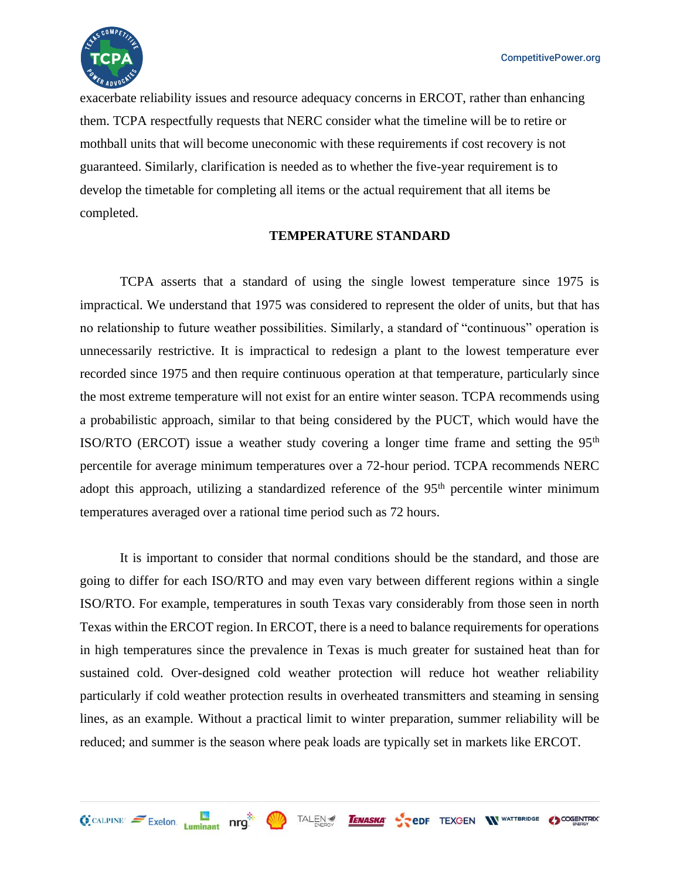

 $Q$  CALPINE  $\approx$  Exelon. Luminant nrg.

exacerbate reliability issues and resource adequacy concerns in ERCOT, rather than enhancing them. TCPA respectfully requests that NERC consider what the timeline will be to retire or mothball units that will become uneconomic with these requirements if cost recovery is not guaranteed. Similarly, clarification is needed as to whether the five-year requirement is to develop the timetable for completing all items or the actual requirement that all items be completed.

#### **TEMPERATURE STANDARD**

TCPA asserts that a standard of using the single lowest temperature since 1975 is impractical. We understand that 1975 was considered to represent the older of units, but that has no relationship to future weather possibilities. Similarly, a standard of "continuous" operation is unnecessarily restrictive. It is impractical to redesign a plant to the lowest temperature ever recorded since 1975 and then require continuous operation at that temperature, particularly since the most extreme temperature will not exist for an entire winter season. TCPA recommends using a probabilistic approach, similar to that being considered by the PUCT, which would have the ISO/RTO (ERCOT) issue a weather study covering a longer time frame and setting the  $95<sup>th</sup>$ percentile for average minimum temperatures over a 72-hour period. TCPA recommends NERC adopt this approach, utilizing a standardized reference of the 95<sup>th</sup> percentile winter minimum temperatures averaged over a rational time period such as 72 hours.

It is important to consider that normal conditions should be the standard, and those are going to differ for each ISO/RTO and may even vary between different regions within a single ISO/RTO. For example, temperatures in south Texas vary considerably from those seen in north Texas within the ERCOT region. In ERCOT, there is a need to balance requirements for operations in high temperatures since the prevalence in Texas is much greater for sustained heat than for sustained cold. Over-designed cold weather protection will reduce hot weather reliability particularly if cold weather protection results in overheated transmitters and steaming in sensing lines, as an example. Without a practical limit to winter preparation, summer reliability will be reduced; and summer is the season where peak loads are typically set in markets like ERCOT.

**TENASKA** 

TAI FN

**PODF TEXGEN WWATTBRIDGE COGENTRIX**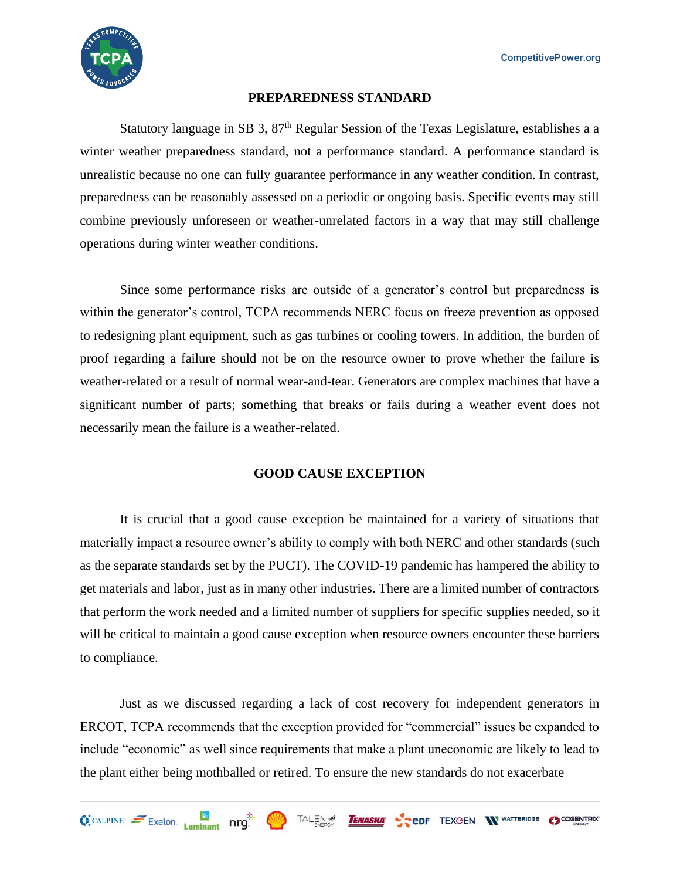

#### **PREPAREDNESS STANDARD**

Statutory language in SB 3, 87<sup>th</sup> Regular Session of the Texas Legislature, establishes a a winter weather preparedness standard, not a performance standard. A performance standard is unrealistic because no one can fully guarantee performance in any weather condition. In contrast, preparedness can be reasonably assessed on a periodic or ongoing basis. Specific events may still combine previously unforeseen or weather-unrelated factors in a way that may still challenge operations during winter weather conditions.

Since some performance risks are outside of a generator's control but preparedness is within the generator's control, TCPA recommends NERC focus on freeze prevention as opposed to redesigning plant equipment, such as gas turbines or cooling towers. In addition, the burden of proof regarding a failure should not be on the resource owner to prove whether the failure is weather-related or a result of normal wear-and-tear. Generators are complex machines that have a significant number of parts; something that breaks or fails during a weather event does not necessarily mean the failure is a weather-related.

# **GOOD CAUSE EXCEPTION**

It is crucial that a good cause exception be maintained for a variety of situations that materially impact a resource owner's ability to comply with both NERC and other standards (such as the separate standards set by the PUCT). The COVID-19 pandemic has hampered the ability to get materials and labor, just as in many other industries. There are a limited number of contractors that perform the work needed and a limited number of suppliers for specific supplies needed, so it will be critical to maintain a good cause exception when resource owners encounter these barriers to compliance.

Just as we discussed regarding a lack of cost recovery for independent generators in ERCOT, TCPA recommends that the exception provided for "commercial" issues be expanded to include "economic" as well since requirements that make a plant uneconomic are likely to lead to the plant either being mothballed or retired. To ensure the new standards do not exacerbate

**TENASKA** 

**COGENTRY TEXCEN WATTERIDGE COGENTRY** 

TALEN

 $\bigodot$  CALPINE  $\bigodot$  Exelon.  $\bigcup_{\text{I}}$  and  $\bigcap$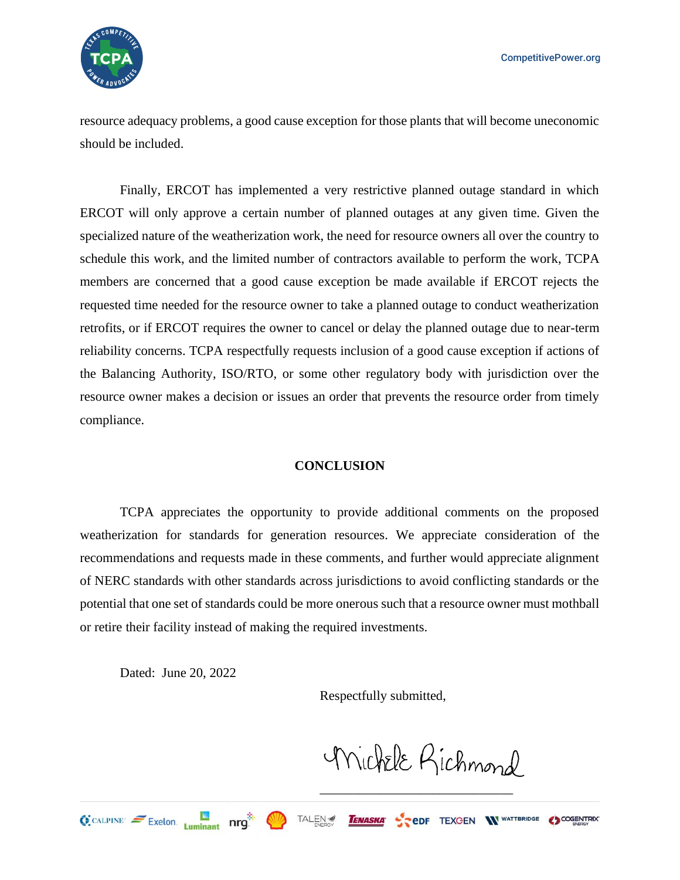

resource adequacy problems, a good cause exception for those plants that will become uneconomic should be included.

Finally, ERCOT has implemented a very restrictive planned outage standard in which ERCOT will only approve a certain number of planned outages at any given time. Given the specialized nature of the weatherization work, the need for resource owners all over the country to schedule this work, and the limited number of contractors available to perform the work, TCPA members are concerned that a good cause exception be made available if ERCOT rejects the requested time needed for the resource owner to take a planned outage to conduct weatherization retrofits, or if ERCOT requires the owner to cancel or delay the planned outage due to near-term reliability concerns. TCPA respectfully requests inclusion of a good cause exception if actions of the Balancing Authority, ISO/RTO, or some other regulatory body with jurisdiction over the resource owner makes a decision or issues an order that prevents the resource order from timely compliance.

## **CONCLUSION**

TCPA appreciates the opportunity to provide additional comments on the proposed weatherization for standards for generation resources. We appreciate consideration of the recommendations and requests made in these comments, and further would appreciate alignment of NERC standards with other standards across jurisdictions to avoid conflicting standards or the potential that one set of standards could be more onerous such that a resource owner must mothball or retire their facility instead of making the required investments.

TAI FN <del>≤</del>

Dated: June 20, 2022

Respectfully submitted,

TENASKA

Michele Richmond

**PEDF TEXGEN IN WATTBRIDGE COGENTRIX** 

\_\_\_\_\_\_\_\_\_\_\_\_\_\_\_\_\_\_\_\_\_\_\_\_\_\_\_\_\_